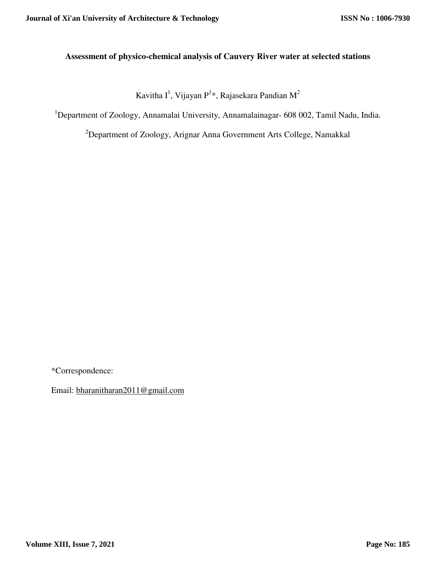# **Assessment of physico-chemical analysis of Cauvery River water at selected stations**

Kavitha I $^1$ , Vijayan P $^{1*}$ , Rajasekara Pandian M $^2$ 

<sup>1</sup>Department of Zoology, Annamalai University, Annamalainagar- 608 002, Tamil Nadu, India.

<sup>2</sup>Department of Zoology, Arignar Anna Government Arts College, Namakkal

\*Correspondence:

Email: bharanitharan2011@gmail.com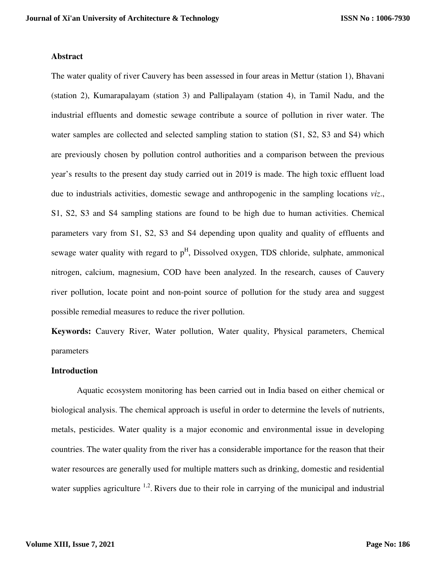### **Abstract**

The water quality of river Cauvery has been assessed in four areas in Mettur (station 1), Bhavani (station 2), Kumarapalayam (station 3) and Pallipalayam (station 4), in Tamil Nadu, and the industrial effluents and domestic sewage contribute a source of pollution in river water. The water samples are collected and selected sampling station to station (S1, S2, S3 and S4) which are previously chosen by pollution control authorities and a comparison between the previous year's results to the present day study carried out in 2019 is made. The high toxic effluent load due to industrials activities, domestic sewage and anthropogenic in the sampling locations *viz*., S1, S2, S3 and S4 sampling stations are found to be high due to human activities. Chemical parameters vary from S1, S2, S3 and S4 depending upon quality and quality of effluents and sewage water quality with regard to  $p<sup>H</sup>$ , Dissolved oxygen, TDS chloride, sulphate, ammonical nitrogen, calcium, magnesium, COD have been analyzed. In the research, causes of Cauvery river pollution, locate point and non-point source of pollution for the study area and suggest possible remedial measures to reduce the river pollution.

**Keywords:** Cauvery River, Water pollution, Water quality, Physical parameters, Chemical parameters

### **Introduction**

Aquatic ecosystem monitoring has been carried out in India based on either chemical or biological analysis. The chemical approach is useful in order to determine the levels of nutrients, metals, pesticides. Water quality is a major economic and environmental issue in developing countries. The water quality from the river has a considerable importance for the reason that their water resources are generally used for multiple matters such as drinking, domestic and residential water supplies agriculture  $1,2$ . Rivers due to their role in carrying of the municipal and industrial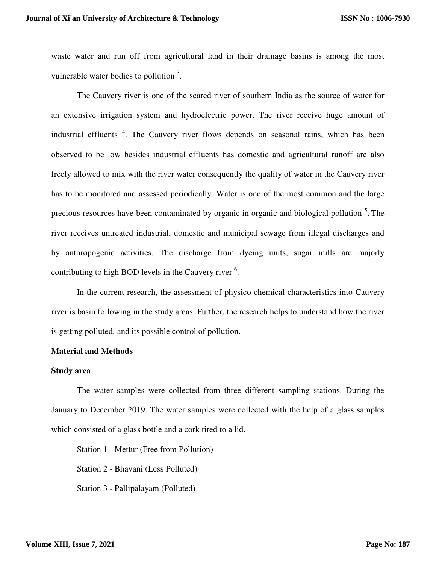waste water and run off from agricultural land in their drainage basins is among the most vulnerable water bodies to pollution  $3$ .

The Cauvery river is one of the scared river of southern India as the source of water for an extensive irrigation system and hydroelectric power. The river receive huge amount of industrial effluents<sup>4</sup>. The Cauvery river flows depends on seasonal rains, which has been observed to be low besides industrial effluents has domestic and agricultural runoff are also freely allowed to mix with the river water consequently the quality of water in the Cauvery river has to be monitored and assessed periodically. Water is one of the most common and the large precious resources have been contaminated by organic in organic and biological pollution<sup>5</sup>. The river receives untreated industrial, domestic and municipal sewage from illegal discharges and by anthropogenic activities. The discharge from dyeing units, sugar mills are majorly contributing to high BOD levels in the Cauvery river <sup>6</sup>.

In the current research, the assessment of physico-chemical characteristics into Cauvery river is basin following in the study areas. Further, the research helps to understand how the river is getting polluted, and its possible control of pollution.

### **Material and Methods**

### **Study area**

The water samples were collected from three different sampling stations. During the January to December 2019. The water samples were collected with the help of a glass samples which consisted of a glass bottle and a cork tired to a lid.

Station 1 - Mettur (Free from Pollution) Station 2 - Bhavani (Less Polluted) Station 3 - Pallipalayam (Polluted)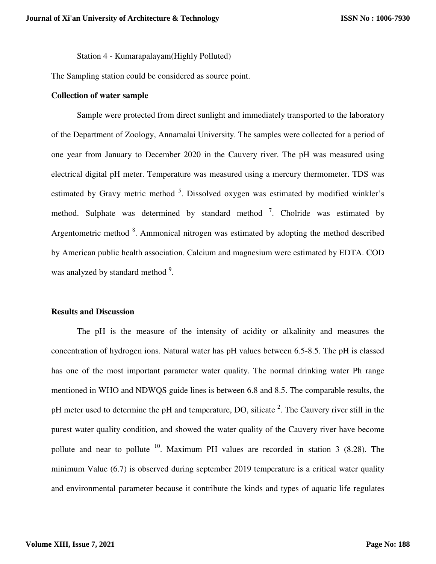Station 4 - Kumarapalayam(Highly Polluted)

The Sampling station could be considered as source point.

#### **Collection of water sample**

Sample were protected from direct sunlight and immediately transported to the laboratory of the Department of Zoology, Annamalai University. The samples were collected for a period of one year from January to December 2020 in the Cauvery river. The pH was measured using electrical digital pH meter. Temperature was measured using a mercury thermometer. TDS was estimated by Gravy metric method <sup>5</sup>. Dissolved oxygen was estimated by modified winkler's method. Sulphate was determined by standard method  $\frac{7}{1}$ . Cholride was estimated by Argentometric method <sup>8</sup>. Ammonical nitrogen was estimated by adopting the method described by American public health association. Calcium and magnesium were estimated by EDTA. COD was analyzed by standard method <sup>9</sup>.

### **Results and Discussion**

The pH is the measure of the intensity of acidity or alkalinity and measures the concentration of hydrogen ions. Natural water has pH values between 6.5-8.5. The pH is classed has one of the most important parameter water quality. The normal drinking water Ph range mentioned in WHO and NDWQS guide lines is between 6.8 and 8.5. The comparable results, the pH meter used to determine the pH and temperature, DO, silicate  $2$ . The Cauvery river still in the purest water quality condition, and showed the water quality of the Cauvery river have become pollute and near to pollute  $10$ . Maximum PH values are recorded in station 3 (8.28). The minimum Value (6.7) is observed during september 2019 temperature is a critical water quality and environmental parameter because it contribute the kinds and types of aquatic life regulates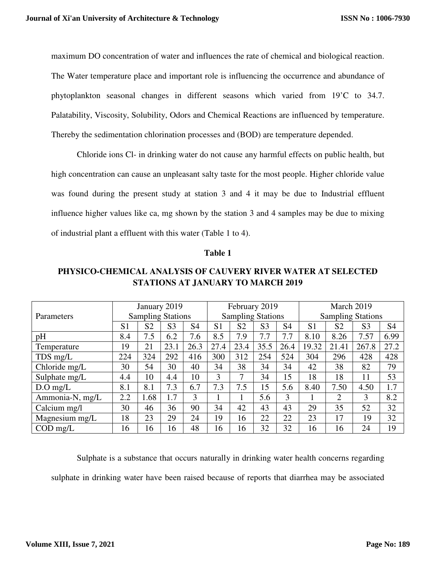maximum DO concentration of water and influences the rate of chemical and biological reaction. The Water temperature place and important role is influencing the occurrence and abundance of phytoplankton seasonal changes in different seasons which varied from 19'C to 34.7. Palatability, Viscosity, Solubility, Odors and Chemical Reactions are influenced by temperature. Thereby the sedimentation chlorination processes and (BOD) are temperature depended.

Chloride ions Cl- in drinking water do not cause any harmful effects on public health, but high concentration can cause an unpleasant salty taste for the most people. Higher chloride value was found during the present study at station 3 and 4 it may be due to Industrial effluent influence higher values like ca, mg shown by the station 3 and 4 samples may be due to mixing of industrial plant a effluent with this water (Table 1 to 4).

### **Table 1**

## **PHYSICO-CHEMICAL ANALYSIS OF CAUVERY RIVER WATER AT SELECTED STATIONS AT JANUARY TO MARCH 2019**

| Parameters                | January 2019             |      | February 2019<br><b>Sampling Stations</b> |                |                | March 2019<br><b>Sampling Stations</b> |                |                |                |                |                |                |  |  |
|---------------------------|--------------------------|------|-------------------------------------------|----------------|----------------|----------------------------------------|----------------|----------------|----------------|----------------|----------------|----------------|--|--|
|                           | <b>Sampling Stations</b> |      |                                           |                |                |                                        |                |                |                |                |                |                |  |  |
|                           | S <sub>1</sub>           | S2   | S <sub>3</sub>                            | S <sub>4</sub> | S <sub>1</sub> | S <sub>2</sub>                         | S <sub>3</sub> | S <sub>4</sub> | S <sub>1</sub> | S <sub>2</sub> | S <sub>3</sub> | S <sub>4</sub> |  |  |
| pH                        | 8.4                      | 7.5  | 6.2                                       | 7.6            | 8.5            | 7.9                                    | 7.7            | 7.7            | 8.10           | 8.26           | 7.57           | 6.99           |  |  |
| Temperature               | 19                       | 21   | 23.1                                      | 26.3           | 27.4           | 23.4                                   | 35.5           | 26.4           | 19.32          | 21.41          | 267.8          | 27.2           |  |  |
| TDS mg/L                  | 224                      | 324  | 292                                       | 416            | 300            | 312                                    | 254            | 524            | 304            | 296            | 428            | 428            |  |  |
| Chloride mg/L             | 30                       | 54   | 30                                        | 40             | 34             | 38                                     | 34             | 34             | 42             | 38             | 82             | 79             |  |  |
| Sulphate mg/L             | 4.4                      | 10   | 4.4                                       | 10             | 3              | 7                                      | 34             | 15             | 18             | 18             | 11             | 53             |  |  |
| $D.O$ mg/L                | 8.1                      | 8.1  | 7.3                                       | 6.7            | 7.3            | 7.5                                    | 15             | 5.6            | 8.40           | 7.50           | 4.50           | 1.7            |  |  |
| Ammonia-N, mg/L           | 2.2                      | 1.68 | 1.7                                       | 3              |                |                                        | 5.6            | 3              |                | $\overline{2}$ | 3              | 8.2            |  |  |
| Calcium mg/l              | 30                       | 46   | 36                                        | 90             | 34             | 42                                     | 43             | 43             | 29             | 35             | 52             | 32             |  |  |
| Magnesium mg/L            | 18                       | 23   | 29                                        | 24             | 19             | 16                                     | 22             | 22             | 23             | 17             | 19             | 32             |  |  |
| $\text{COD} \text{ mg/L}$ | 16                       | 16   | 16                                        | 48             | 16             | 16                                     | 32             | 32             | 16             | 16             | 24             | 19             |  |  |

Sulphate is a substance that occurs naturally in drinking water health concerns regarding sulphate in drinking water have been raised because of reports that diarrhea may be associated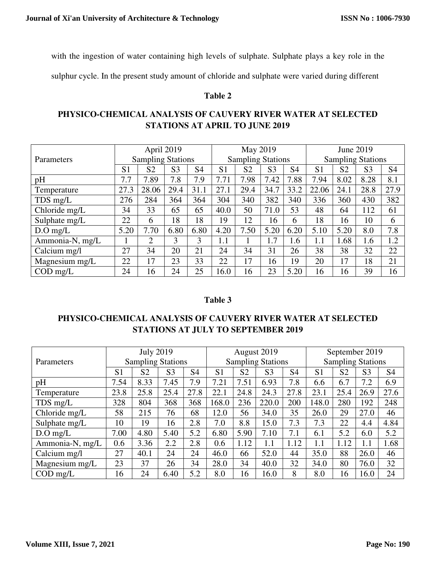with the ingestion of water containing high levels of sulphate. Sulphate plays a key role in the

sulphur cycle. In the present study amount of chloride and sulphate were varied during different

## **Table 2**

# **PHYSICO-CHEMICAL ANALYSIS OF CAUVERY RIVER WATER AT SELECTED STATIONS AT APRIL TO JUNE 2019**

|                           |                | April 2019               |                | May 2019                 |                |                | June 2019                |      |                |                |                |                |
|---------------------------|----------------|--------------------------|----------------|--------------------------|----------------|----------------|--------------------------|------|----------------|----------------|----------------|----------------|
| Parameters                |                | <b>Sampling Stations</b> |                | <b>Sampling Stations</b> |                |                | <b>Sampling Stations</b> |      |                |                |                |                |
|                           | S <sub>1</sub> | S <sub>2</sub>           | S <sub>3</sub> | S4                       | S <sub>1</sub> | S <sub>2</sub> | S <sub>3</sub>           | S4   | S <sub>1</sub> | S <sub>2</sub> | S <sub>3</sub> | S <sub>4</sub> |
| pH                        | 7.7            | 7.89                     | 7.8            | 7.9                      | 7.71           | 7.98           | 7.42                     | 7.88 | 7.94           | 8.02           | 8.28           | 8.1            |
| Temperature               | 27.3           | 28.06                    | 29.4           | 31.1                     | 27.1           | 29.4           | 34.7                     | 33.2 | 22.06          | 24.1           | 28.8           | 27.9           |
| TDS mg/L                  | 276            | 284                      | 364            | 364                      | 304            | 340            | 382                      | 340  | 336            | 360            | 430            | 382            |
| Chloride mg/L             | 34             | 33                       | 65             | 65                       | 40.0           | 50             | 71.0                     | 53   | 48             | 64             | 112            | 61             |
| Sulphate mg/L             | 22             | 6                        | 18             | 18                       | 19             | 12             | 16                       | 6    | 18             | 16             | 10             | 6              |
| $D.O$ mg/L                | 5.20           | 7.70                     | 6.80           | 6.80                     | 4.20           | 7.50           | 5.20                     | 6.20 | 5.10           | 5.20           | 8.0            | 7.8            |
| Ammonia-N, mg/L           |                | 2                        | 3              | 3                        | $1.1\,$        |                | 1.7                      | 1.6  | $1.1\,$        | 1.68           | 1.6            | 1.2            |
| Calcium mg/l              | 27             | 34                       | 20             | 21                       | 24             | 34             | 31                       | 26   | 38             | 38             | 32             | 22             |
| Magnesium mg/L            | 22             | 17                       | 23             | 33                       | 22             | 17             | 16                       | 19   | 20             | 17             | 18             | 21             |
| $\text{COD} \text{ mg/L}$ | 24             | 16                       | 24             | 25                       | 16.0           | 16             | 23                       | 5.20 | 16             | 16             | 39             | 16             |

## **Table 3**

# **PHYSICO-CHEMICAL ANALYSIS OF CAUVERY RIVER WATER AT SELECTED STATIONS AT JULY TO SEPTEMBER 2019**

|                           |                | <b>July 2019</b>         |                |                |                | August 2019    |                          | September 2019 |                          |                |                |                |
|---------------------------|----------------|--------------------------|----------------|----------------|----------------|----------------|--------------------------|----------------|--------------------------|----------------|----------------|----------------|
| Parameters                |                | <b>Sampling Stations</b> |                |                |                |                | <b>Sampling Stations</b> |                | <b>Sampling Stations</b> |                |                |                |
|                           | S <sub>1</sub> | S <sub>2</sub>           | S <sub>3</sub> | S <sub>4</sub> | S <sub>1</sub> | S <sub>2</sub> | S <sub>3</sub>           | S <sub>4</sub> | S <sub>1</sub>           | S <sub>2</sub> | S <sub>3</sub> | S <sub>4</sub> |
| pH                        | 7.54           | 8.33                     | 7.45           | 7.9            | 7.21           | 7.51           | 6.93                     | 7.8            | 6.6                      | 6.7            | 7.2            | 6.9            |
| Temperature               | 23.8           | 25.8                     | 25.4           | 27.8           | 22.1           | 24.8           | 24.3                     | 27.8           | 23.1                     | 25.4           | 26.9           | 27.6           |
| TDS mg/L                  | 328            | 804                      | 368            | 368            | 168.0          | 236            | 220.0                    | 200            | 148.0                    | 280            | 192            | 248            |
| Chloride mg/L             | 58             | 215                      | 76             | 68             | 12.0           | 56             | 34.0                     | 35             | 26.0                     | 29             | 27.0           | 46             |
| Sulphate mg/L             | 10             | 19                       | 16             | 2.8            | 7.0            | 8.8            | 15.0                     | 7.3            | 7.3                      | 22             | 4.4            | 4.84           |
| $D.O$ mg/L                | 7.00           | 4.80                     | 5.40           | 5.2            | 6.80           | 5.90           | 7.10                     | 7.1            | 6.1                      | 5.2            | 6.0            | 5.2            |
| Ammonia-N, mg/L           | 0.6            | 3.36                     | 2.2            | 2.8            | 0.6            | 1.12           | $1.1\,$                  | 1.12           | 1.1                      | 1.12           | 1.1            | 1.68           |
| Calcium mg/l              | 27             | 40.1                     | 24             | 24             | 46.0           | 66             | 52.0                     | 44             | 35.0                     | 88             | 26.0           | 46             |
| Magnesium mg/L            | 23             | 37                       | 26             | 34             | 28.0           | 34             | 40.0                     | 32             | 34.0                     | 80             | 76.0           | 32             |
| $\text{COD} \text{ mg/L}$ | 16             | 24                       | 6.40           | 5.2            | 8.0            | 16             | 16.0                     | 8              | 8.0                      | 16             | 16.0           | 24             |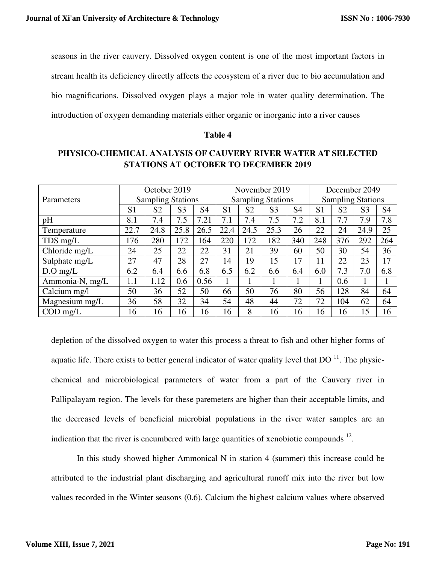seasons in the river cauvery. Dissolved oxygen content is one of the most important factors in stream health its deficiency directly affects the ecosystem of a river due to bio accumulation and bio magnifications. Dissolved oxygen plays a major role in water quality determination. The introduction of oxygen demanding materials either organic or inorganic into a river causes

### **Table 4**

# **PHYSICO-CHEMICAL ANALYSIS OF CAUVERY RIVER WATER AT SELECTED STATIONS AT OCTOBER TO DECEMBER 2019**

|                 | October 2019             |                |                | November 2019            |                | December 2049            |                |                |                |                |                |                |
|-----------------|--------------------------|----------------|----------------|--------------------------|----------------|--------------------------|----------------|----------------|----------------|----------------|----------------|----------------|
| Parameters      | <b>Sampling Stations</b> |                |                | <b>Sampling Stations</b> |                | <b>Sampling Stations</b> |                |                |                |                |                |                |
|                 | S <sub>1</sub>           | S <sub>2</sub> | S <sub>3</sub> | S4                       | S <sub>1</sub> | S <sub>2</sub>           | S <sub>3</sub> | S <sub>4</sub> | S <sub>1</sub> | S <sub>2</sub> | S <sub>3</sub> | S <sub>4</sub> |
| pH              | 8.1                      | 7.4            | 7.5            | 7.21                     | 7.1            | 7.4                      | 7.5            | 7.2            | 8.1            | 7.7            | 7.9            | 7.8            |
| Temperature     | 22.7                     | 24.8           | 25.8           | 26.5                     | 22.4           | 24.5                     | 25.3           | 26             | 22             | 24             | 24.9           | 25             |
| TDS mg/L        | 176                      | 280            | 172            | 164                      | 220            | 172                      | 182            | 340            | 248            | 376            | 292            | 264            |
| Chloride mg/L   | 24                       | 25             | 22             | 22                       | 31             | 21                       | 39             | 60             | 50             | 30             | 54             | 36             |
| Sulphate mg/L   | 27                       | 47             | 28             | 27                       | 14             | 19                       | 15             | 17             | 11             | 22             | 23             | 17             |
| $D.O$ mg/L      | 6.2                      | 6.4            | 6.6            | 6.8                      | 6.5            | 6.2                      | 6.6            | 6.4            | 6.0            | 7.3            | 7.0            | 6.8            |
| Ammonia-N, mg/L | 1.1                      | 1.12           | 0.6            | 0.56                     |                |                          |                |                |                | 0.6            |                |                |
| Calcium mg/l    | 50                       | 36             | 52             | 50                       | 66             | 50                       | 76             | 80             | 56             | 128            | 84             | 64             |
| Magnesium mg/L  | 36                       | 58             | 32             | 34                       | 54             | 48                       | 44             | 72             | 72             | 104            | 62             | 64             |
| $COD$ mg/L      | 16                       | 16             | 16             | 16                       | 16             | 8                        | 16             | 16             | 16             | 16             | 15             | 16             |

depletion of the dissolved oxygen to water this process a threat to fish and other higher forms of aquatic life. There exists to better general indicator of water quality level that  $DO<sup>11</sup>$ . The physicchemical and microbiological parameters of water from a part of the Cauvery river in Pallipalayam region. The levels for these paremeters are higher than their acceptable limits, and the decreased levels of beneficial microbial populations in the river water samples are an indication that the river is encumbered with large quantities of xenobiotic compounds  $12$ .

In this study showed higher Ammonical N in station 4 (summer) this increase could be attributed to the industrial plant discharging and agricultural runoff mix into the river but low values recorded in the Winter seasons (0.6). Calcium the highest calcium values where observed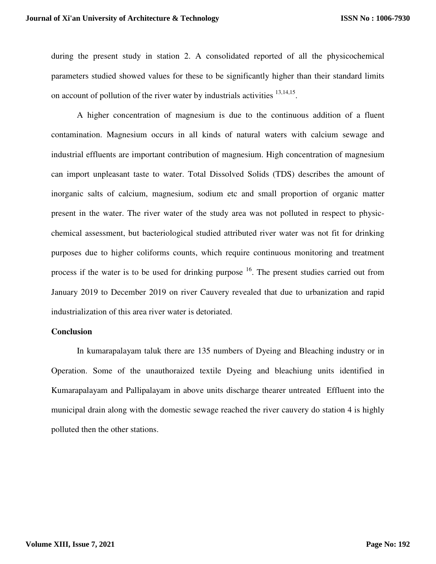during the present study in station 2. A consolidated reported of all the physicochemical parameters studied showed values for these to be significantly higher than their standard limits on account of pollution of the river water by industrials activities  $13,14,15$ .

A higher concentration of magnesium is due to the continuous addition of a fluent contamination. Magnesium occurs in all kinds of natural waters with calcium sewage and industrial effluents are important contribution of magnesium. High concentration of magnesium can import unpleasant taste to water. Total Dissolved Solids (TDS) describes the amount of inorganic salts of calcium, magnesium, sodium etc and small proportion of organic matter present in the water. The river water of the study area was not polluted in respect to physicchemical assessment, but bacteriological studied attributed river water was not fit for drinking purposes due to higher coliforms counts, which require continuous monitoring and treatment process if the water is to be used for drinking purpose  $16$ . The present studies carried out from January 2019 to December 2019 on river Cauvery revealed that due to urbanization and rapid industrialization of this area river water is detoriated.

#### **Conclusion**

In kumarapalayam taluk there are 135 numbers of Dyeing and Bleaching industry or in Operation. Some of the unauthoraized textile Dyeing and bleachiung units identified in Kumarapalayam and Pallipalayam in above units discharge thearer untreated Effluent into the municipal drain along with the domestic sewage reached the river cauvery do station 4 is highly polluted then the other stations.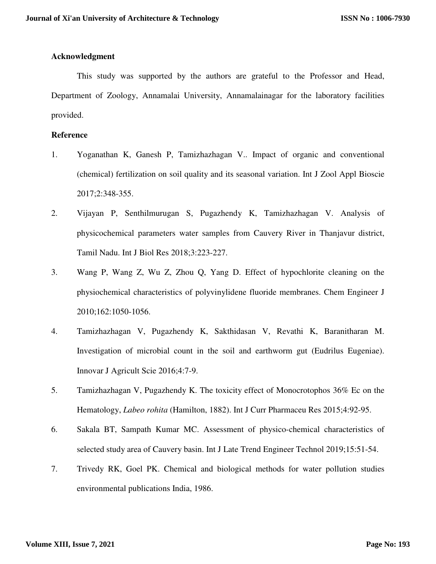## **Acknowledgment**

This study was supported by the authors are grateful to the Professor and Head, Department of Zoology, Annamalai University, Annamalainagar for the laboratory facilities provided.

## **Reference**

- 1. Yoganathan K, Ganesh P, Tamizhazhagan V.. Impact of organic and conventional (chemical) fertilization on soil quality and its seasonal variation. Int J Zool Appl Bioscie 2017;2:348-355.
- 2. Vijayan P, Senthilmurugan S, Pugazhendy K, Tamizhazhagan V. Analysis of physicochemical parameters water samples from Cauvery River in Thanjavur district, Tamil Nadu. Int J Biol Res 2018;3:223-227.
- 3. Wang P, Wang Z, Wu Z, Zhou Q, Yang D. Effect of hypochlorite cleaning on the physiochemical characteristics of polyvinylidene fluoride membranes. Chem Engineer J 2010;162:1050-1056.
- 4. Tamizhazhagan V, Pugazhendy K, Sakthidasan V, Revathi K, Baranitharan M. Investigation of microbial count in the soil and earthworm gut (Eudrilus Eugeniae). Innovar J Agricult Scie 2016;4:7-9.
- 5. Tamizhazhagan V, Pugazhendy K. The toxicity effect of Monocrotophos 36% Ec on the Hematology, *Labeo rohita* (Hamilton, 1882). Int J Curr Pharmaceu Res 2015;4:92-95.
- 6. Sakala BT, Sampath Kumar MC. Assessment of physico-chemical characteristics of selected study area of Cauvery basin. Int J Late Trend Engineer Technol 2019;15:51-54.
- 7. Trivedy RK, Goel PK. Chemical and biological methods for water pollution studies environmental publications India, 1986.